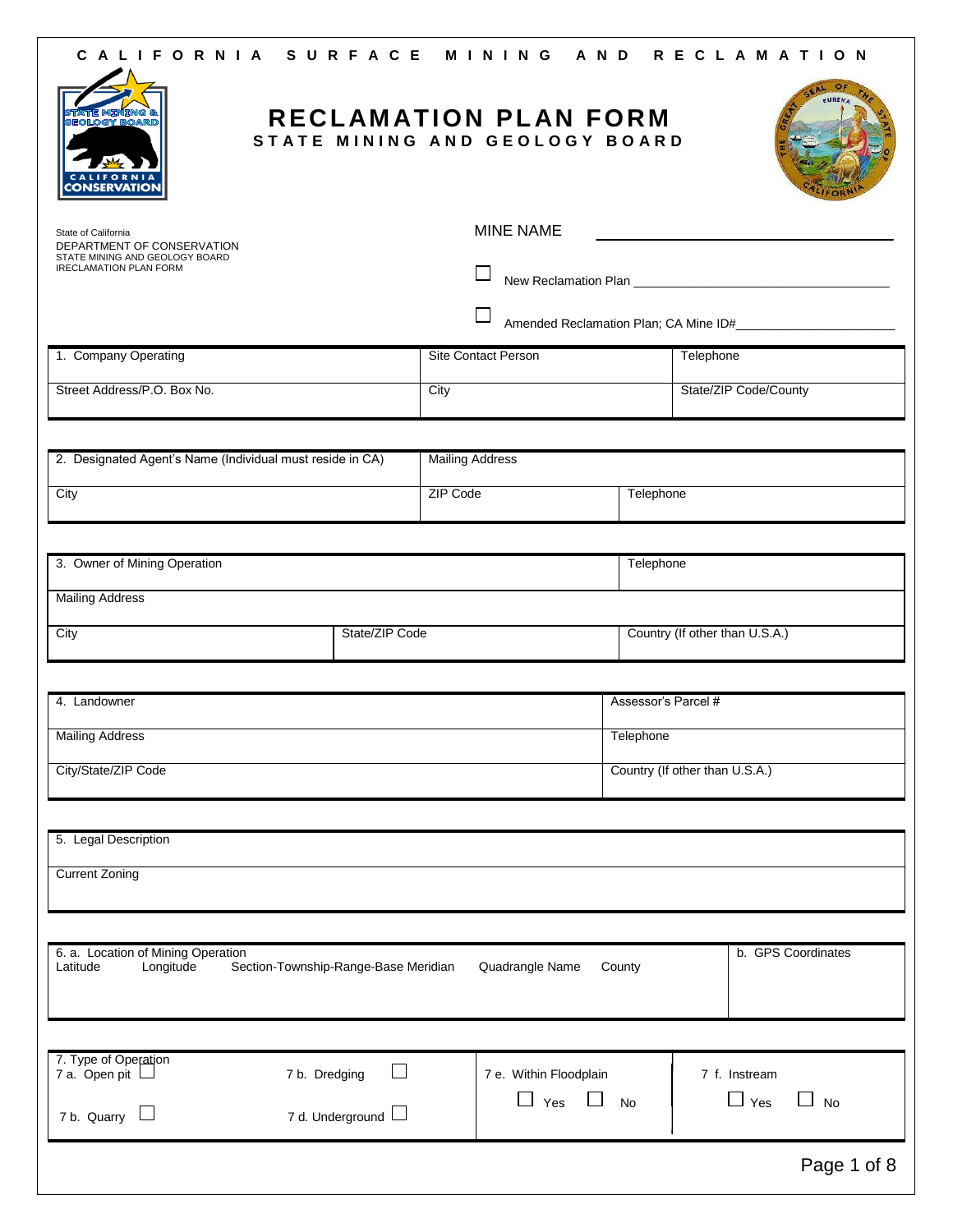| GEOLOGY<br><b>NSERVATIO</b>                                     |                                      | RECLAMATION PLAN FORM<br>STATE MINING AND GEOLOGY BOARD |                     |                                                |
|-----------------------------------------------------------------|--------------------------------------|---------------------------------------------------------|---------------------|------------------------------------------------|
| State of California<br>DEPARTMENT OF CONSERVATION               |                                      | <b>MINE NAME</b>                                        |                     | <u>and the state of the state of the state</u> |
| STATE MINING AND GEOLOGY BOARD<br><b>IRECLAMATION PLAN FORM</b> |                                      |                                                         |                     |                                                |
|                                                                 |                                      |                                                         |                     |                                                |
| 1. Company Operating                                            |                                      | <b>Site Contact Person</b>                              |                     | Telephone                                      |
| Street Address/P.O. Box No.                                     |                                      | City                                                    |                     | State/ZIP Code/County                          |
|                                                                 |                                      |                                                         |                     |                                                |
| 2. Designated Agent's Name (Individual must reside in CA)       |                                      | <b>Mailing Address</b>                                  |                     |                                                |
| City                                                            |                                      | ZIP Code                                                | Telephone           |                                                |
|                                                                 |                                      |                                                         |                     |                                                |
| 3. Owner of Mining Operation                                    |                                      |                                                         | Telephone           |                                                |
| <b>Mailing Address</b>                                          |                                      |                                                         |                     |                                                |
| City                                                            | State/ZIP Code                       |                                                         |                     | Country (If other than U.S.A.)                 |
|                                                                 |                                      |                                                         |                     |                                                |
| 4. Landowner                                                    |                                      |                                                         | Assessor's Parcel # |                                                |
| <b>Mailing Address</b>                                          |                                      |                                                         | Telephone           |                                                |
| City/State/ZIP Code                                             |                                      |                                                         |                     | Country (If other than U.S.A.)                 |
|                                                                 |                                      |                                                         |                     |                                                |
| 5. Legal Description                                            |                                      |                                                         |                     |                                                |
| <b>Current Zoning</b>                                           |                                      |                                                         |                     |                                                |
|                                                                 |                                      |                                                         |                     |                                                |
| 6. a. Location of Mining Operation<br>Longitude<br>Latitude     | Section-Township-Range-Base Meridian | Quadrangle Name                                         | County              | b. GPS Coordinates                             |
|                                                                 |                                      |                                                         |                     |                                                |
| 7. Type of Operation<br>7 a. Open pit $\Box$<br>7 b. Dredging   | $\mathsf{L}$                         | 7 e. Within Floodplain                                  |                     | 7 f. Instream                                  |
| 7 b. Quarry $\Box$                                              | 7 d. Underground $\Box$              | $\Box$ Yes<br>$\blacksquare$                            | <b>No</b>           | $\Box$ Yes<br><b>No</b>                        |
|                                                                 |                                      |                                                         |                     | Page 1 of 8                                    |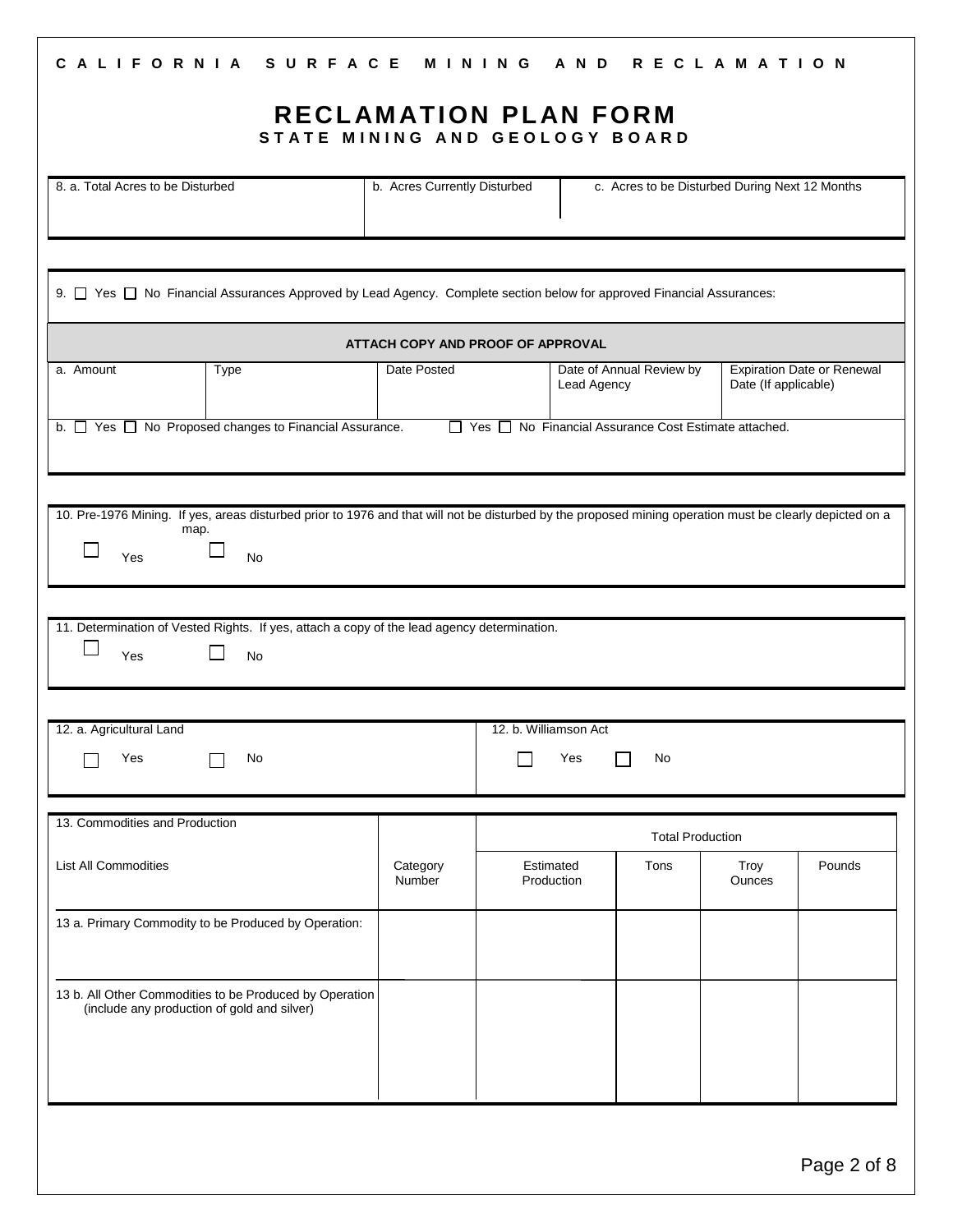| CALIFORNIA SURFACE MINING AND RECLAMATION<br><b>RECLAMATION PLAN FORM</b>                                                                                                     |                                   |                       |                         |                                                        |                       |                                   |
|-------------------------------------------------------------------------------------------------------------------------------------------------------------------------------|-----------------------------------|-----------------------|-------------------------|--------------------------------------------------------|-----------------------|-----------------------------------|
| STATE MINING AND GEOLOGY BOARD                                                                                                                                                |                                   |                       |                         |                                                        |                       |                                   |
| 8. a. Total Acres to be Disturbed                                                                                                                                             | b. Acres Currently Disturbed      |                       |                         | c. Acres to be Disturbed During Next 12 Months         |                       |                                   |
| 9. □ Yes □ No Financial Assurances Approved by Lead Agency. Complete section below for approved Financial Assurances:                                                         |                                   |                       |                         |                                                        |                       |                                   |
|                                                                                                                                                                               | ATTACH COPY AND PROOF OF APPROVAL |                       |                         |                                                        |                       |                                   |
| a. Amount<br>Type                                                                                                                                                             | Date Posted                       |                       | Lead Agency             | Date of Annual Review by                               | Date (If applicable)  | <b>Expiration Date or Renewal</b> |
| b. T Yes T No Proposed changes to Financial Assurance.                                                                                                                        |                                   |                       |                         | □ Yes □ No Financial Assurance Cost Estimate attached. |                       |                                   |
|                                                                                                                                                                               |                                   |                       |                         |                                                        |                       |                                   |
| 10. Pre-1976 Mining. If yes, areas disturbed prior to 1976 and that will not be disturbed by the proposed mining operation must be clearly depicted on a<br>map.<br>Yes<br>No |                                   |                       |                         |                                                        |                       |                                   |
| 11. Determination of Vested Rights. If yes, attach a copy of the lead agency determination.<br>No<br>Yes                                                                      |                                   |                       |                         |                                                        |                       |                                   |
|                                                                                                                                                                               |                                   |                       |                         |                                                        |                       |                                   |
| 12. a. Agricultural Land<br>Yes<br>No                                                                                                                                         |                                   | 12. b. Williamson Act | Yes                     | No                                                     |                       |                                   |
| 13. Commodities and Production                                                                                                                                                |                                   |                       |                         | <b>Total Production</b>                                |                       |                                   |
| <b>List All Commodities</b>                                                                                                                                                   | Category<br>Number                |                       | Estimated<br>Production | Tons                                                   | Troy<br><b>Ounces</b> | Pounds                            |
| 13 a. Primary Commodity to be Produced by Operation:                                                                                                                          |                                   |                       |                         |                                                        |                       |                                   |
| 13 b. All Other Commodities to be Produced by Operation<br>(include any production of gold and silver)                                                                        |                                   |                       |                         |                                                        |                       |                                   |
|                                                                                                                                                                               |                                   |                       |                         |                                                        |                       |                                   |
|                                                                                                                                                                               |                                   |                       |                         |                                                        |                       |                                   |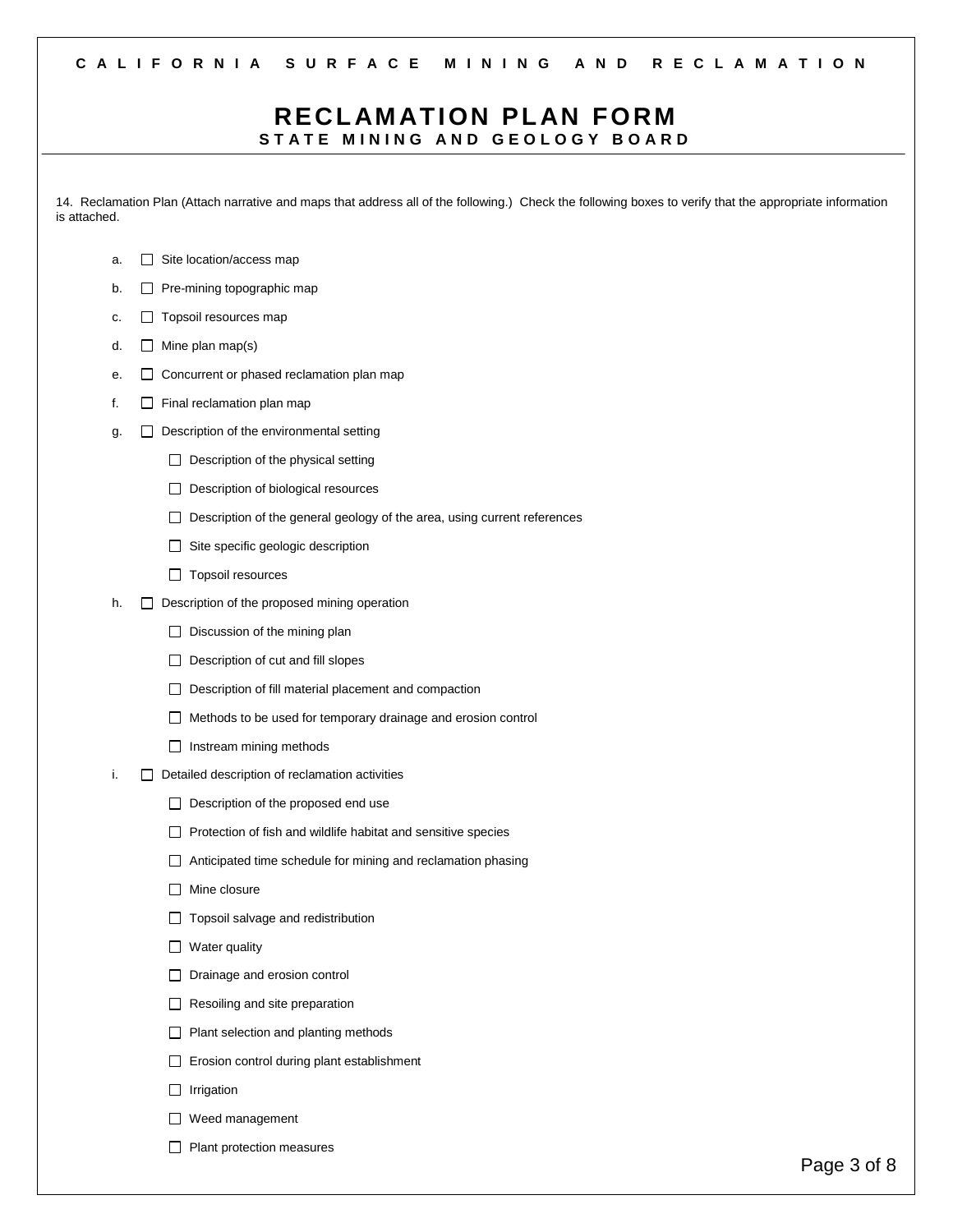### **RECL AM ATION PL AN FORM** STATE MINING AND GEOLOGY BOARD

14. Reclamation Plan (Attach narrative and maps that address all of the following.) Check the following boxes to verify that the appropriate information is attached.

- a.  $\Box$  Site location/access map
- b.  $\Box$  Pre-mining topographic map
- c.  $\Box$  Topsoil resources map
- d.  $\Box$  Mine plan map(s)
- e.  $\Box$  Concurrent or phased reclamation plan map
- f.  $\Box$  Final reclamation plan map
- g.  $\Box$  Description of the environmental setting
	- $\Box$  Description of the physical setting
	- D Description of biological resources
	- $\Box$  Description of the general geology of the area, using current references
	- $\Box$  Site specific geologic description
	- Topsoil resources
- h.  $\Box$  Description of the proposed mining operation
	- $\Box$  Discussion of the mining plan
	- $\Box$  Description of cut and fill slopes
	- $\Box$  Description of fill material placement and compaction
	- Methods to be used for temporary drainage and erosion control
	- $\Box$  Instream mining methods
- $i.$   $\Box$  Detailed description of reclamation activities
	- Description of the proposed end use
	- $\Box$  Protection of fish and wildlife habitat and sensitive species
	- Anticipated time schedule for mining and reclamation phasing
	- **Mine closure**
	- □ Topsoil salvage and redistribution
	- $\Box$  Water quality
	- D Drainage and erosion control
	- $\Box$  Resoiling and site preparation
	- $\Box$  Plant selection and planting methods
	- Erosion control during plant establishment
	- $\Box$  Irrigation
	- Weed management
	- $\Box$  Plant protection measures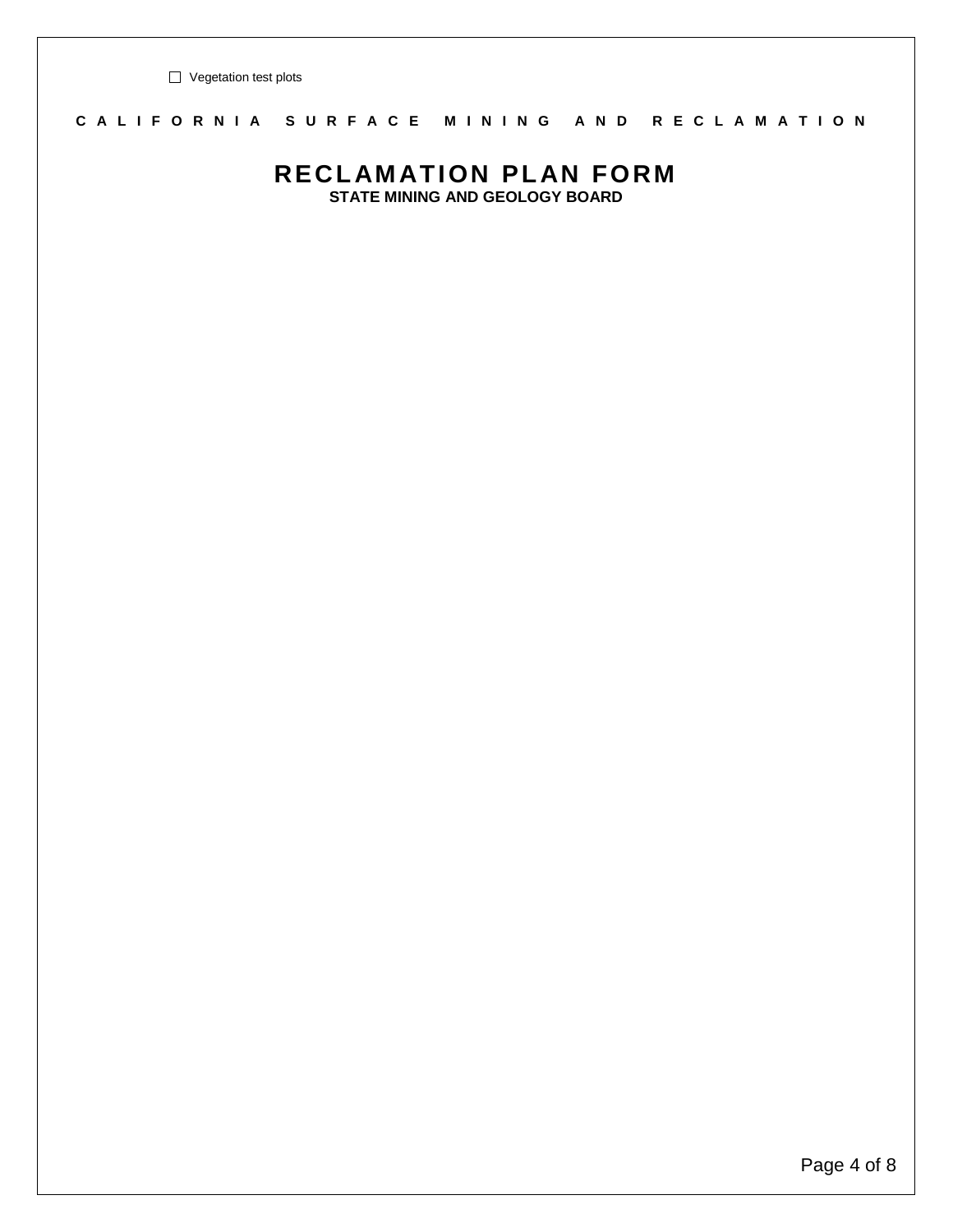Vegetation test plots

### **C A L I F O R N I A S U R F A C E M I N I N G A N D R E C L A M A T I O N**

## **RECL AM ATION PL AN FORM**

**STATE MINING AND GEOLOGY BOARD**

Page 4 of 8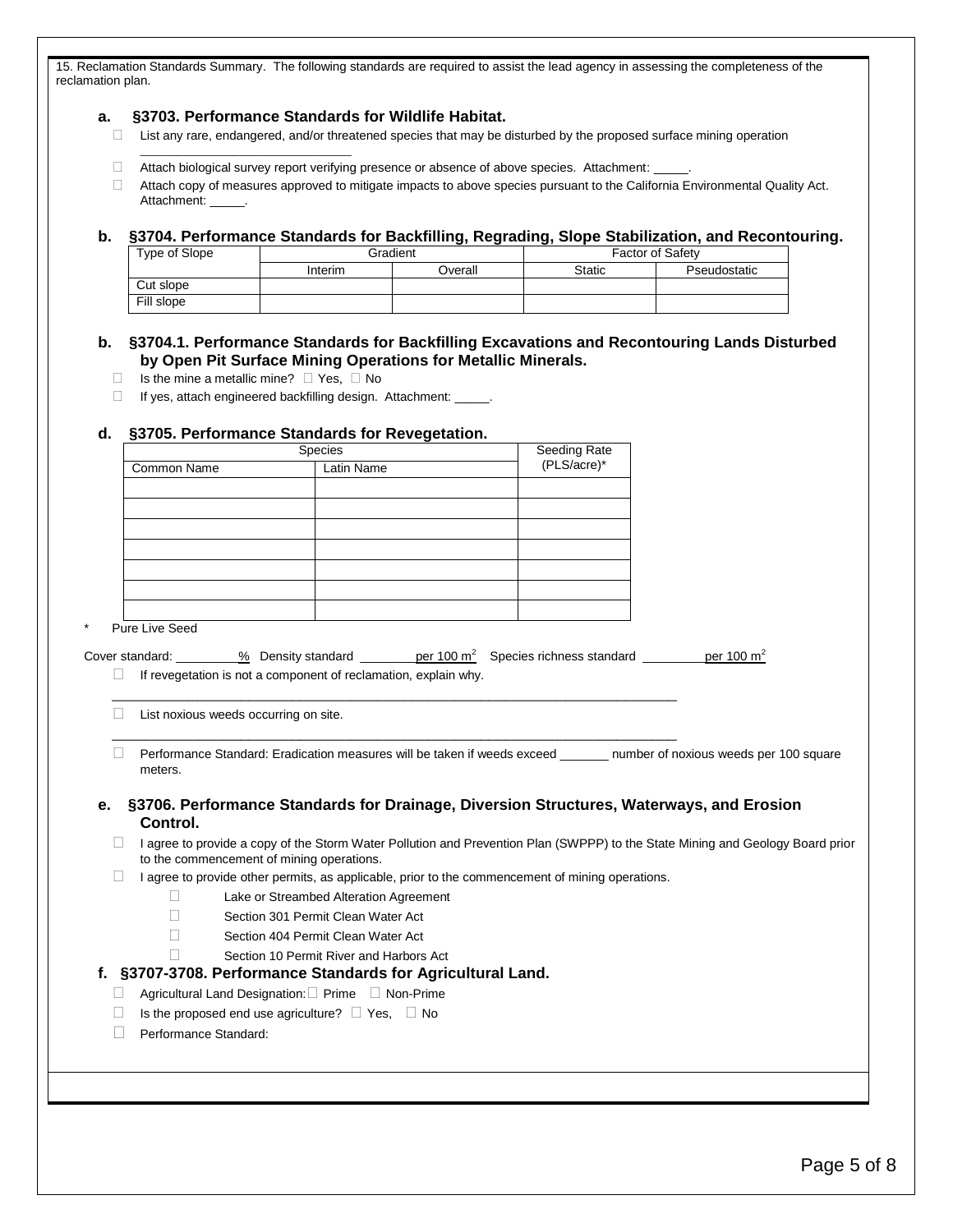15. Reclamation Standards Summary. The following standards are required to assist the lead agency in assessing the completeness of the reclamation plan.

#### **a. §3703. Performance Standards for Wildlife Habitat.**

- $\Box$  List any rare, endangered, and/or threatened species that may be disturbed by the proposed surface mining operation
- Attach biological survey report verifying presence or absence of above species. Attachment: \_\_\_\_\_.
- Attach copy of measures approved to mitigate impacts to above species pursuant to the California Environmental Quality Act. Attachment:

#### **b. §3704. Performance Standards for Backfilling, Regrading, Slope Stabilization, and Recontouring.**

| Type of Slope | Gradient |         | <b>Factor of Safety</b> |              |  |
|---------------|----------|---------|-------------------------|--------------|--|
|               | Interim  | Dverall | <b>Static</b>           | Pseudostatic |  |
| Cut slope     |          |         |                         |              |  |
| Fill slope    |          |         |                         |              |  |

#### **b. §3704.1. Performance Standards for Backfilling Excavations and Recontouring Lands Disturbed by Open Pit Surface Mining Operations for Metallic Minerals.**

 $\Box$  Is the mine a metallic mine?  $\Box$  Yes,  $\Box$  No

\_\_\_\_\_\_\_\_\_\_\_\_\_\_\_\_\_\_\_\_\_\_\_\_\_\_\_\_\_\_\_\_\_\_

 $\Box$  If yes, attach engineered backfilling design. Attachment:  $\Box$ .

#### **d. §3705. Performance Standards for Revegetation.**

|             | Species    | Seeding Rate<br>(PLS/acre)* |
|-------------|------------|-----------------------------|
| Common Name | Latin Name |                             |
|             |            |                             |
|             |            |                             |
|             |            |                             |
|             |            |                             |
|             |            |                             |
|             |            |                             |
|             |            |                             |

Pure Live Seed

| Cover standard: | % Density standard                                              | per 100 m <sup>2</sup> Species richness standard | per 100 $m2$ |
|-----------------|-----------------------------------------------------------------|--------------------------------------------------|--------------|
|                 | If revegetation is not a component of reclamation, explain why. |                                                  |              |

\_\_\_\_\_\_\_\_\_\_\_\_\_\_\_\_\_\_\_\_\_\_\_\_\_\_\_\_\_\_\_\_\_\_\_\_\_\_\_\_\_\_\_\_\_\_\_\_\_\_\_\_\_\_\_\_\_\_\_\_\_\_\_\_\_\_  $\Box$  List noxious weeds occurring on site.

D Performance Standard: Eradication measures will be taken if weeds exceed \_\_\_\_\_\_\_ number of noxious weeds per 100 square meters.

#### **e. §3706. Performance Standards for Drainage, Diversion Structures, Waterways, and Erosion Control.**

□ I agree to provide a copy of the Storm Water Pollution and Prevention Plan (SWPPP) to the State Mining and Geology Board prior to the commencement of mining operations.

 $\Box$  I agree to provide other permits, as applicable, prior to the commencement of mining operations.

\_\_\_\_\_\_\_\_\_\_\_\_\_\_\_\_\_\_\_\_\_\_\_\_\_\_\_\_\_\_\_\_\_\_\_\_\_\_\_\_\_\_\_\_\_\_\_\_\_\_\_\_\_\_\_\_\_\_\_\_\_\_\_\_\_\_

- □ Lake or Streambed Alteration Agreement
- Section 301 Permit Clean Water Act
- □ Section 404 Permit Clean Water Act
- Section 10 Permit River and Harbors Act

#### **f. §3707-3708. Performance Standards for Agricultural Land.**

- $\Box$  Agricultural Land Designation:  $\Box$  Prime  $\Box$  Non-Prime
- $\Box$  Is the proposed end use agriculture?  $\Box$  Yes,  $\Box$  No
- Performance Standard: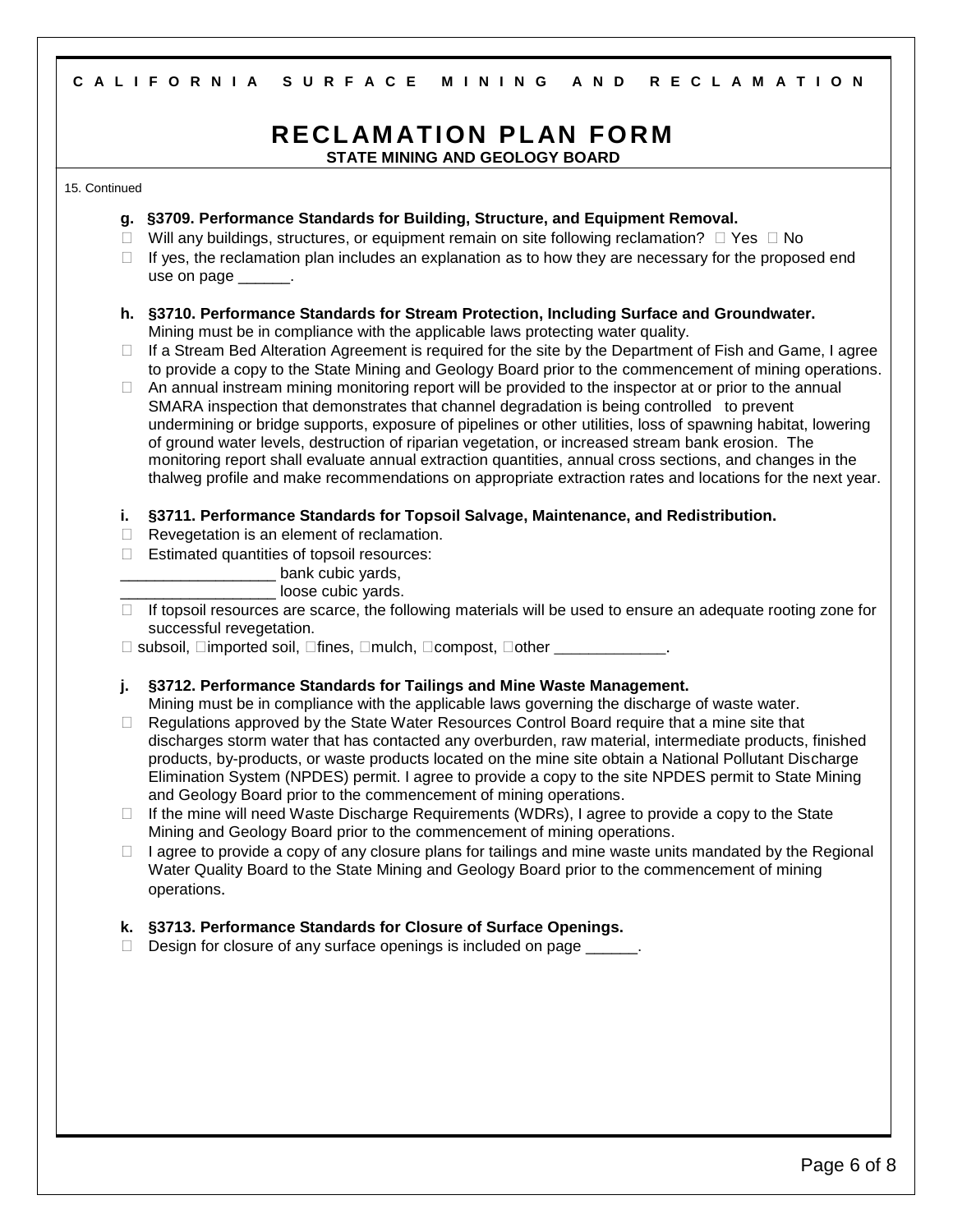#### **C A L I F O R N I A S U R F A C E M I N I N G A N D R E C L A M A T I O N**

# **RECL AM ATION PL AN FORM**

**STATE MINING AND GEOLOGY BOARD**

#### 15. Continued

- **g. §3709. Performance Standards for Building, Structure, and Equipment Removal.**
- $\Box$  Will any buildings, structures, or equipment remain on site following reclamation?  $\Box$  Yes  $\Box$  No
- $\Box$  If yes, the reclamation plan includes an explanation as to how they are necessary for the proposed end use on page
- **h. §3710. Performance Standards for Stream Protection, Including Surface and Groundwater.** Mining must be in compliance with the applicable laws protecting water quality.
- $\Box$  If a Stream Bed Alteration Agreement is required for the site by the Department of Fish and Game, I agree to provide a copy to the State Mining and Geology Board prior to the commencement of mining operations.

 $\Box$  An annual instream mining monitoring report will be provided to the inspector at or prior to the annual SMARA inspection that demonstrates that channel degradation is being controlled to prevent undermining or bridge supports, exposure of pipelines or other utilities, loss of spawning habitat, lowering of ground water levels, destruction of riparian vegetation, or increased stream bank erosion. The monitoring report shall evaluate annual extraction quantities, annual cross sections, and changes in the thalweg profile and make recommendations on appropriate extraction rates and locations for the next year.

- **i. §3711. Performance Standards for Topsoil Salvage, Maintenance, and Redistribution.**
- $\Box$  Revegetation is an element of reclamation.
- $\Box$  Estimated quantities of topsoil resources:

bank cubic yards,

loose cubic yards.

 $\Box$  If topsoil resources are scarce, the following materials will be used to ensure an adequate rooting zone for successful revegetation.

 $\Box$  subsoil,  $\Box$ imported soil,  $\Box$ fines,  $\Box$ mulch,  $\Box$ compost,  $\Box$ other  $\Box$ 

**j. §3712. Performance Standards for Tailings and Mine Waste Management.**

Mining must be in compliance with the applicable laws governing the discharge of waste water.

- $\Box$  Regulations approved by the State Water Resources Control Board require that a mine site that discharges storm water that has contacted any overburden, raw material, intermediate products, finished products, by-products, or waste products located on the mine site obtain a National Pollutant Discharge Elimination System (NPDES) permit. I agree to provide a copy to the site NPDES permit to State Mining and Geology Board prior to the commencement of mining operations.
- $\Box$  If the mine will need Waste Discharge Requirements (WDRs), I agree to provide a copy to the State Mining and Geology Board prior to the commencement of mining operations.
- $\Box$  I agree to provide a copy of any closure plans for tailings and mine waste units mandated by the Regional Water Quality Board to the State Mining and Geology Board prior to the commencement of mining operations.

#### **k. §3713. Performance Standards for Closure of Surface Openings.**

 $\Box$  Design for closure of any surface openings is included on page  $\Box$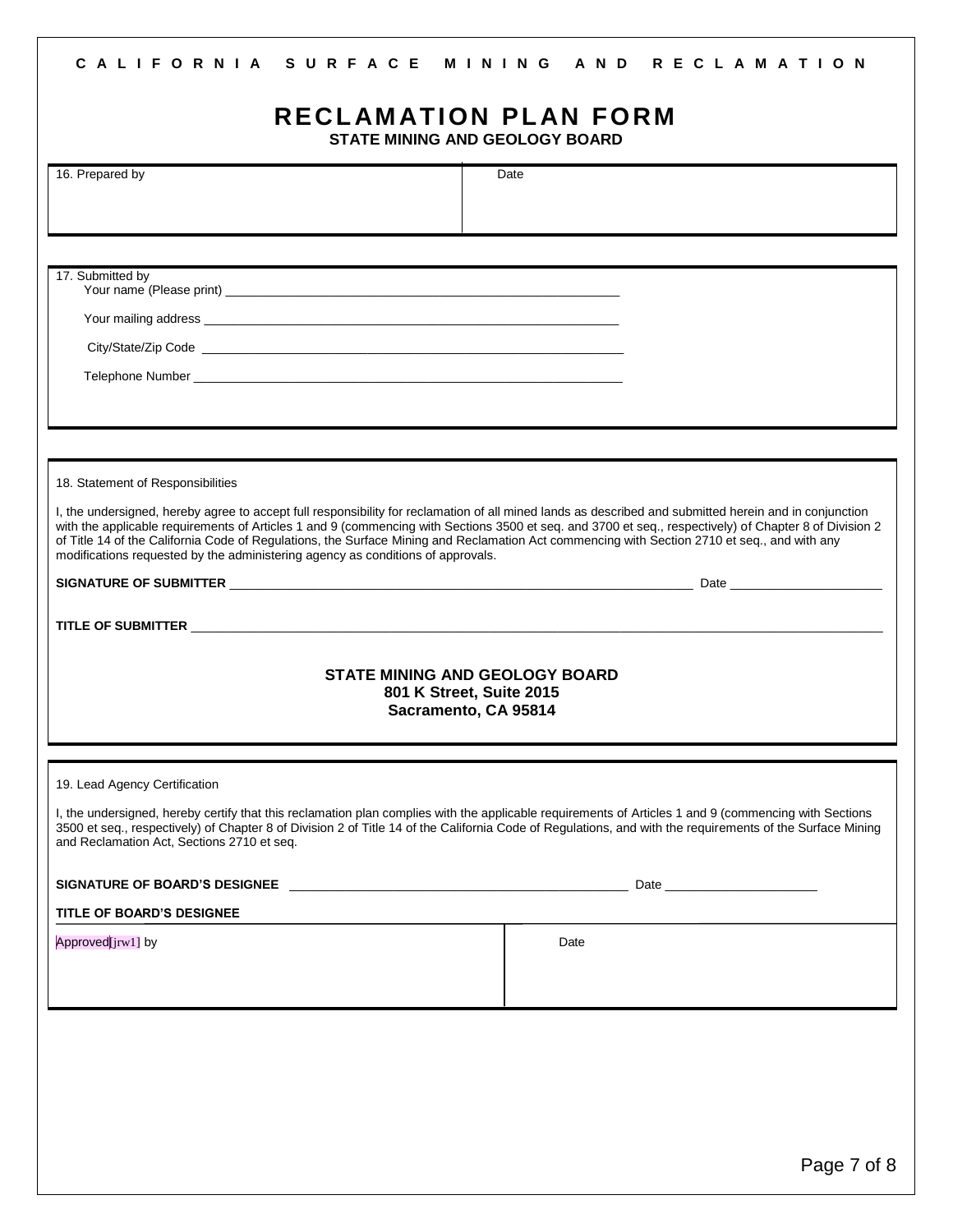#### **C A L I F O R N I A S U R F A C E M I N I N G A N D R E C L A M A T I O N**

## **RECL AM ATION PL AN FORM**

**STATE MINING AND GEOLOGY BOARD**

| 16. Prepared by                                                                                                                                                                                                                 | Date                                                                                                                                                                                                                                                                                                               |
|---------------------------------------------------------------------------------------------------------------------------------------------------------------------------------------------------------------------------------|--------------------------------------------------------------------------------------------------------------------------------------------------------------------------------------------------------------------------------------------------------------------------------------------------------------------|
|                                                                                                                                                                                                                                 |                                                                                                                                                                                                                                                                                                                    |
|                                                                                                                                                                                                                                 |                                                                                                                                                                                                                                                                                                                    |
| 17. Submitted by                                                                                                                                                                                                                |                                                                                                                                                                                                                                                                                                                    |
|                                                                                                                                                                                                                                 |                                                                                                                                                                                                                                                                                                                    |
|                                                                                                                                                                                                                                 |                                                                                                                                                                                                                                                                                                                    |
|                                                                                                                                                                                                                                 |                                                                                                                                                                                                                                                                                                                    |
|                                                                                                                                                                                                                                 |                                                                                                                                                                                                                                                                                                                    |
|                                                                                                                                                                                                                                 |                                                                                                                                                                                                                                                                                                                    |
| 18. Statement of Responsibilities                                                                                                                                                                                               |                                                                                                                                                                                                                                                                                                                    |
| of Title 14 of the California Code of Regulations, the Surface Mining and Reclamation Act commencing with Section 2710 et seq., and with any<br>modifications requested by the administering agency as conditions of approvals. | I, the undersigned, hereby agree to accept full responsibility for reclamation of all mined lands as described and submitted herein and in conjunction<br>with the applicable requirements of Articles 1 and 9 (commencing with Sections 3500 et seq. and 3700 et seq., respectively) of Chapter 8 of Division 2   |
|                                                                                                                                                                                                                                 |                                                                                                                                                                                                                                                                                                                    |
|                                                                                                                                                                                                                                 |                                                                                                                                                                                                                                                                                                                    |
|                                                                                                                                                                                                                                 |                                                                                                                                                                                                                                                                                                                    |
|                                                                                                                                                                                                                                 | <b>STATE MINING AND GEOLOGY BOARD</b><br>801 K Street, Suite 2015                                                                                                                                                                                                                                                  |
|                                                                                                                                                                                                                                 | Sacramento, CA 95814                                                                                                                                                                                                                                                                                               |
|                                                                                                                                                                                                                                 |                                                                                                                                                                                                                                                                                                                    |
| 19. Lead Agency Certification                                                                                                                                                                                                   |                                                                                                                                                                                                                                                                                                                    |
| and Reclamation Act, Sections 2710 et seq.                                                                                                                                                                                      | I, the undersigned, hereby certify that this reclamation plan complies with the applicable requirements of Articles 1 and 9 (commencing with Sections<br>3500 et seq., respectively) of Chapter 8 of Division 2 of Title 14 of the California Code of Regulations, and with the requirements of the Surface Mining |
| SIGNATURE OF BOARD'S DESIGNEE AND THE STATE OF STATE AND THE STATE OF STATE OF STATE OF STATE OF STATE OF STATE OF STATE OF STATE OF STATE OF STATE OF STATE OF STATE OF STATE OF STATE OF STATE OF STATE OF STATE OF STATE OF  | Date and the contract of the contract of the contract of the contract of the contract of the contract of the contract of the contract of the contract of the contract of the contract of the contract of the contract of the c                                                                                     |
| <b>TITLE OF BOARD'S DESIGNEE</b>                                                                                                                                                                                                |                                                                                                                                                                                                                                                                                                                    |
| Approved[jrw1] by                                                                                                                                                                                                               | Date                                                                                                                                                                                                                                                                                                               |
|                                                                                                                                                                                                                                 |                                                                                                                                                                                                                                                                                                                    |
|                                                                                                                                                                                                                                 |                                                                                                                                                                                                                                                                                                                    |